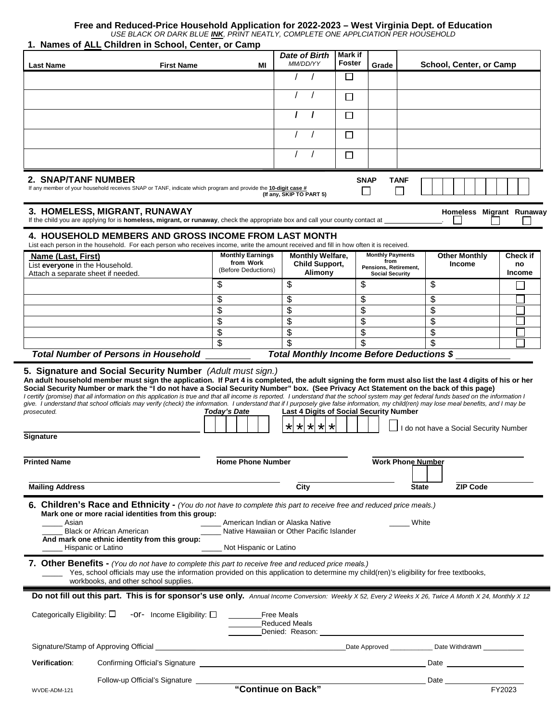| <b>Last Name</b>                                                                 | <b>First Name</b>                                                                                                                                                                                                                                                                                                                                                                                                                                                                                                                                                                                          | МI                                             | <b>Date of Birth</b><br>MM/DD/YY          | Mark if<br><b>Foster</b> | Grade                                           |              | School, Center, or Camp                |                          |                     |
|----------------------------------------------------------------------------------|------------------------------------------------------------------------------------------------------------------------------------------------------------------------------------------------------------------------------------------------------------------------------------------------------------------------------------------------------------------------------------------------------------------------------------------------------------------------------------------------------------------------------------------------------------------------------------------------------------|------------------------------------------------|-------------------------------------------|--------------------------|-------------------------------------------------|--------------|----------------------------------------|--------------------------|---------------------|
|                                                                                  |                                                                                                                                                                                                                                                                                                                                                                                                                                                                                                                                                                                                            |                                                |                                           | $\Box$                   |                                                 |              |                                        |                          |                     |
|                                                                                  |                                                                                                                                                                                                                                                                                                                                                                                                                                                                                                                                                                                                            |                                                |                                           | $\Box$                   |                                                 |              |                                        |                          |                     |
|                                                                                  |                                                                                                                                                                                                                                                                                                                                                                                                                                                                                                                                                                                                            |                                                |                                           | $\Box$                   |                                                 |              |                                        |                          |                     |
|                                                                                  |                                                                                                                                                                                                                                                                                                                                                                                                                                                                                                                                                                                                            |                                                |                                           |                          |                                                 |              |                                        |                          |                     |
|                                                                                  |                                                                                                                                                                                                                                                                                                                                                                                                                                                                                                                                                                                                            |                                                |                                           | П                        |                                                 |              |                                        |                          |                     |
|                                                                                  |                                                                                                                                                                                                                                                                                                                                                                                                                                                                                                                                                                                                            |                                                |                                           | $\Box$                   |                                                 |              |                                        |                          |                     |
|                                                                                  |                                                                                                                                                                                                                                                                                                                                                                                                                                                                                                                                                                                                            |                                                |                                           |                          |                                                 |              |                                        |                          |                     |
| 2. SNAP/TANF NUMBER                                                              | If any member of your household receives SNAP or TANF, indicate which program and provide the 10-digit case #                                                                                                                                                                                                                                                                                                                                                                                                                                                                                              |                                                | (If any, SKIP TO PART 5)                  | <b>SNAP</b><br>$\Box$    | <b>TANF</b>                                     |              |                                        |                          |                     |
|                                                                                  | 3. HOMELESS, MIGRANT, RUNAWAY                                                                                                                                                                                                                                                                                                                                                                                                                                                                                                                                                                              |                                                |                                           |                          |                                                 |              |                                        | Homeless Migrant Runaway |                     |
|                                                                                  | If the child you are applying for is <b>homeless, migrant, or runaway</b> , check the appropriate box and call your county contact at                                                                                                                                                                                                                                                                                                                                                                                                                                                                      |                                                |                                           |                          |                                                 |              |                                        |                          |                     |
|                                                                                  | <b>4. HOUSEHOLD MEMBERS AND GROSS INCOME FROM LAST MONTH</b><br>List each person in the household. For each person who receives income, write the amount received and fill in how often it is received.                                                                                                                                                                                                                                                                                                                                                                                                    |                                                |                                           |                          |                                                 |              |                                        |                          |                     |
| Name (Last, First)                                                               |                                                                                                                                                                                                                                                                                                                                                                                                                                                                                                                                                                                                            | <b>Monthly Earnings</b><br>from Work           | <b>Monthly Welfare,</b>                   |                          | <b>Monthly Payments</b><br>from                 |              | <b>Other Monthly</b>                   |                          | Check if            |
| List everyone in the Household.                                                  | Attach a separate sheet if needed.                                                                                                                                                                                                                                                                                                                                                                                                                                                                                                                                                                         | (Before Deductions)                            | <b>Child Support,</b><br>Alimony          |                          | Pensions, Retirement,<br><b>Social Security</b> |              | <b>Income</b>                          |                          | no<br><b>Income</b> |
|                                                                                  |                                                                                                                                                                                                                                                                                                                                                                                                                                                                                                                                                                                                            | \$                                             | \$                                        | \$                       |                                                 |              | \$                                     |                          |                     |
|                                                                                  |                                                                                                                                                                                                                                                                                                                                                                                                                                                                                                                                                                                                            | \$                                             | \$                                        | \$                       |                                                 |              | \$                                     |                          |                     |
|                                                                                  |                                                                                                                                                                                                                                                                                                                                                                                                                                                                                                                                                                                                            | \$<br>\$                                       | \$<br>\$                                  | \$<br>\$                 |                                                 |              | \$<br>\$                               |                          |                     |
|                                                                                  |                                                                                                                                                                                                                                                                                                                                                                                                                                                                                                                                                                                                            | \$                                             | \$                                        | \$                       |                                                 |              | \$                                     |                          |                     |
|                                                                                  |                                                                                                                                                                                                                                                                                                                                                                                                                                                                                                                                                                                                            | $\overline{\boldsymbol{\theta}}$               | \$                                        | \$                       |                                                 |              | \$                                     |                          |                     |
|                                                                                  | <b>Total Number of Persons in Household</b><br>5. Signature and Social Security Number (Adult must sign.)<br>An adult household member must sign the application. If Part 4 is completed, the adult signing the form must also list the last 4 digits of his or her<br>Social Security Number or mark the "I do not have a Social Security Number" box. (See Privacy Act Statement on the back of this page)<br>I certify (promise) that all information on this application is true and that all income is reported. I understand that the school system may get federal funds based on the information I |                                                | Total Monthly Income Before Deductions \$ |                          |                                                 |              |                                        |                          |                     |
|                                                                                  | give. I understand that school officials may verify (check) the information. I understand that if I purposely give false information, my child(ren) may lose meal benefits, and I may be                                                                                                                                                                                                                                                                                                                                                                                                                   | Today's Date                                   | Last 4 Digits of Social Security Number   |                          |                                                 |              |                                        |                          |                     |
|                                                                                  |                                                                                                                                                                                                                                                                                                                                                                                                                                                                                                                                                                                                            |                                                | ∗l<br>세<br>∗l<br>$\star$ $\star$          |                          |                                                 |              | I do not have a Social Security Number |                          |                     |
|                                                                                  |                                                                                                                                                                                                                                                                                                                                                                                                                                                                                                                                                                                                            |                                                |                                           |                          |                                                 |              |                                        |                          |                     |
|                                                                                  |                                                                                                                                                                                                                                                                                                                                                                                                                                                                                                                                                                                                            | <b>Home Phone Number</b>                       |                                           |                          | <b>Work Phone Number</b>                        |              |                                        |                          |                     |
|                                                                                  |                                                                                                                                                                                                                                                                                                                                                                                                                                                                                                                                                                                                            |                                                |                                           |                          |                                                 |              |                                        |                          |                     |
|                                                                                  |                                                                                                                                                                                                                                                                                                                                                                                                                                                                                                                                                                                                            |                                                | $\overline{City}$                         |                          |                                                 | <b>State</b> |                                        | <b>ZIP Code</b>          |                     |
|                                                                                  | 6. Children's Race and Ethnicity - (You do not have to complete this part to receive free and reduced price meals.)                                                                                                                                                                                                                                                                                                                                                                                                                                                                                        |                                                |                                           |                          |                                                 |              |                                        |                          |                     |
| Asian                                                                            | Mark one or more racial identities from this group:                                                                                                                                                                                                                                                                                                                                                                                                                                                                                                                                                        |                                                | American Indian or Alaska Native          |                          |                                                 | White        |                                        |                          |                     |
|                                                                                  | <b>Black or African American</b>                                                                                                                                                                                                                                                                                                                                                                                                                                                                                                                                                                           | ____ Native Hawaiian or Other Pacific Islander |                                           |                          |                                                 |              |                                        |                          |                     |
|                                                                                  | And mark one ethnic identity from this group:<br>_ Hispanic or Latino                                                                                                                                                                                                                                                                                                                                                                                                                                                                                                                                      | Not Hispanic or Latino                         |                                           |                          |                                                 |              |                                        |                          |                     |
|                                                                                  | 7. Other Benefits - (You do not have to complete this part to receive free and reduced price meals.)<br>Yes, school officials may use the information provided on this application to determine my child(ren)'s eligibility for free textbooks,                                                                                                                                                                                                                                                                                                                                                            |                                                |                                           |                          |                                                 |              |                                        |                          |                     |
|                                                                                  | workbooks, and other school supplies.                                                                                                                                                                                                                                                                                                                                                                                                                                                                                                                                                                      |                                                |                                           |                          |                                                 |              |                                        |                          |                     |
| prosecuted.<br><b>Signature</b><br><b>Printed Name</b><br><b>Mailing Address</b> | Do not fill out this part. This is for sponsor's use only. Annual Income Conversion: Weekly X 52, Every 2 Weeks X 26, Twice A Month X 24, Monthly X 12                                                                                                                                                                                                                                                                                                                                                                                                                                                     |                                                |                                           |                          |                                                 |              |                                        |                          |                     |
|                                                                                  | -Or- Income Eligibility: $\square$                                                                                                                                                                                                                                                                                                                                                                                                                                                                                                                                                                         |                                                | <b>Free Meals</b><br><b>Reduced Meals</b> |                          |                                                 |              |                                        |                          |                     |
|                                                                                  |                                                                                                                                                                                                                                                                                                                                                                                                                                                                                                                                                                                                            |                                                |                                           |                          |                                                 |              |                                        |                          |                     |
|                                                                                  |                                                                                                                                                                                                                                                                                                                                                                                                                                                                                                                                                                                                            |                                                |                                           |                          |                                                 |              |                                        |                          |                     |
| Categorically Eligibility: $\square$<br><b>Verification:</b>                     | Follow-up Official's Signature ____                                                                                                                                                                                                                                                                                                                                                                                                                                                                                                                                                                        |                                                | "Continue on Back"                        |                          |                                                 |              | Date _____                             |                          |                     |